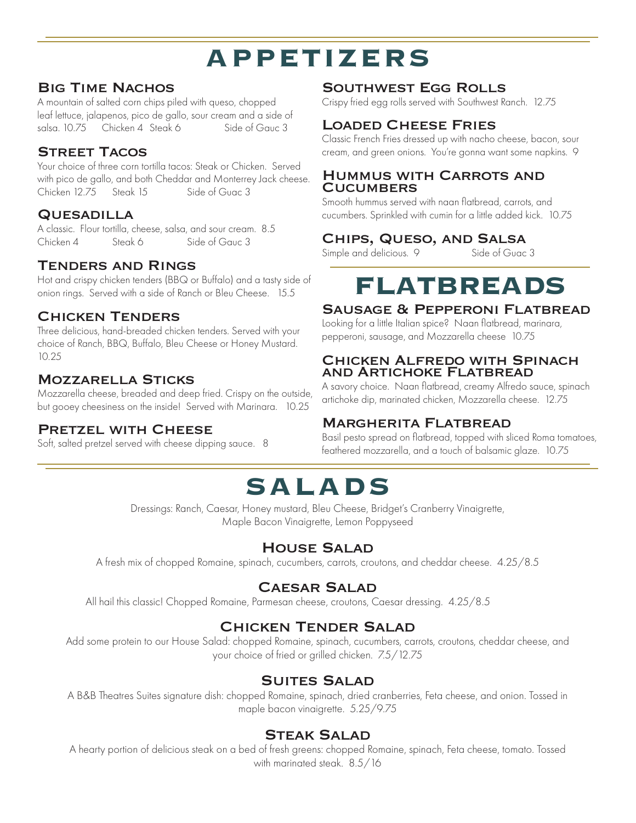# **APPETIZERS**

#### Big Time Nachos

A mountain of salted corn chips piled with queso, chopped leaf lettuce, jalapenos, pico de gallo, sour cream and a side of salsa. 10.75 Chicken 4. Steak 6 Side of Gauc 3

#### Street Tacos

Your choice of three corn tortilla tacos: Steak or Chicken. Served with pico de gallo, and both Cheddar and Monterrey Jack cheese. Chicken 12.75 Steak 15 Side of Guac 3

#### **QUESADILLA**

A classic. Flour tortilla, cheese, salsa, and sour cream. 8.5 Chicken 4 Steak 6 Side of Gauc 3

### Tenders and Rings

Hot and crispy chicken tenders (BBQ or Buffalo) and a tasty side of onion rings. Served with a side of Ranch or Bleu Cheese. 15.5

### Chicken Tenders

Three delicious, hand-breaded chicken tenders. Served with your choice of Ranch, BBQ, Buffalo, Bleu Cheese or Honey Mustard. 10.25

#### Mozzarella Sticks

Mozzarella cheese, breaded and deep fried. Crispy on the outside, but gooey cheesiness on the inside! Served with Marinara. 10.25

### PRETZEL WITH CHEESE

Soft, salted pretzel served with cheese dipping sauce. 8

### Southwest Egg Rolls

Crispy fried egg rolls served with Southwest Ranch. 12.75

#### Loaded Cheese Fries

Classic French Fries dressed up with nacho cheese, bacon, sour cream, and green onions. You're gonna want some napkins. 9

#### Hummus with Carrots and **CUCUMBERS**

Smooth hummus served with naan flatbread, carrots, and cucumbers. Sprinkled with cumin for a little added kick. 10.75

## **CHIPS, QUESO, AND SALSA**<br>Simple and delicious. 9 Side of Guac 3

Simple and delicious. 9

# **FLATBREADS**

#### Sausage & Pepperoni Flatbread

Looking for a little Italian spice? Naan flatbread, marinara, pepperoni, sausage, and Mozzarella cheese 10.75

#### Chicken Alfredo with Spinach and Artichoke Flatbread

A savory choice. Naan flatbread, creamy Alfredo sauce, spinach artichoke dip, marinated chicken, Mozzarella cheese. 12.75

### Margherita Flatbread

Basil pesto spread on flatbread, topped with sliced Roma tomatoes, feathered mozzarella, and a touch of balsamic glaze. 10.75

# **SALADS**

Dressings: Ranch, Caesar, Honey mustard, Bleu Cheese, Bridget's Cranberry Vinaigrette, Maple Bacon Vinaigrette, Lemon Poppyseed

## House Salad

A fresh mix of chopped Romaine, spinach, cucumbers, carrots, croutons, and cheddar cheese. 4.25/8.5

## Caesar Salad

All hail this classic! Chopped Romaine, Parmesan cheese, croutons, Caesar dressing. 4.25/8.5

## Chicken Tender Salad

Add some protein to our House Salad: chopped Romaine, spinach, cucumbers, carrots, croutons, cheddar cheese, and your choice of fried or grilled chicken. 7.5/12.75

## Suites Salad

A B&B Theatres Suites signature dish: chopped Romaine, spinach, dried cranberries, Feta cheese, and onion. Tossed in maple bacon vinaigrette. 5.25/9.75

#### Steak Salad

A hearty portion of delicious steak on a bed of fresh greens: chopped Romaine, spinach, Feta cheese, tomato. Tossed with marinated steak. 8.5/16